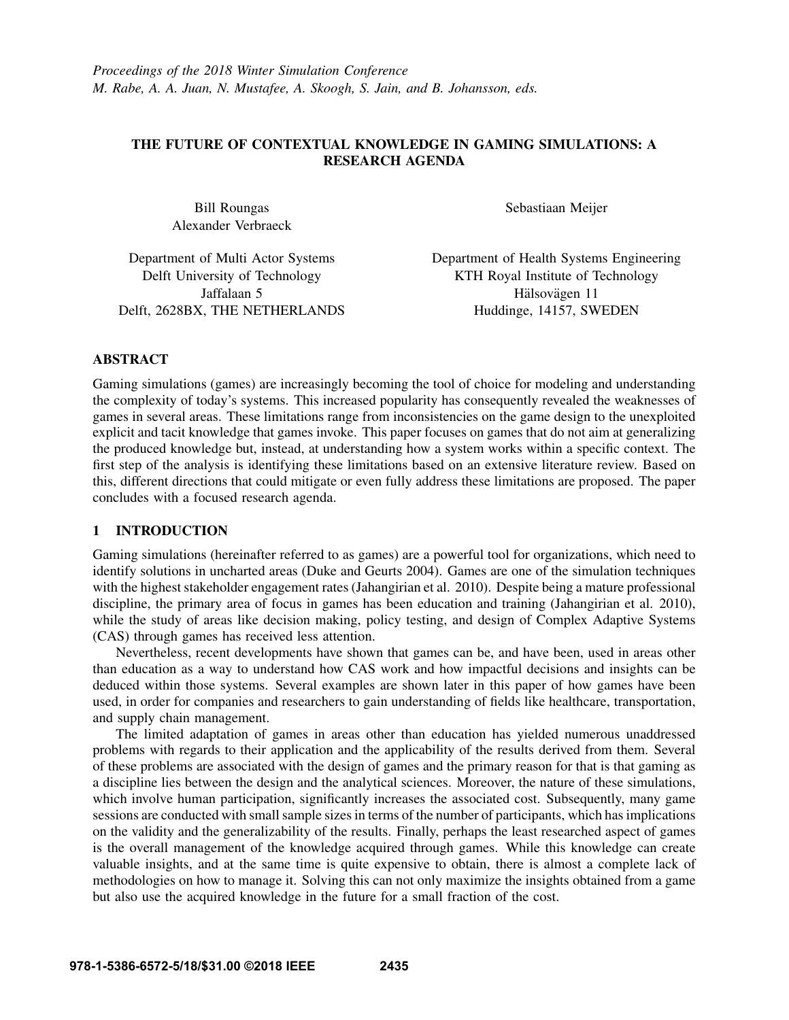# THE FUTURE OF CONTEXTUAL KNOWLEDGE IN GAMING SIMULATIONS: A RESEARCH AGENDA

Bill Roungas Alexander Verbraeck Sebastiaan Meijer

Department of Multi Actor Systems Delft University of Technology Jaffalaan 5 Delft, 2628BX, THE NETHERLANDS Department of Health Systems Engineering KTH Royal Institute of Technology Hälsovägen 11 Huddinge, 14157, SWEDEN

# ABSTRACT

Gaming simulations (games) are increasingly becoming the tool of choice for modeling and understanding the complexity of today's systems. This increased popularity has consequently revealed the weaknesses of games in several areas. These limitations range from inconsistencies on the game design to the unexploited explicit and tacit knowledge that games invoke. This paper focuses on games that do not aim at generalizing the produced knowledge but, instead, at understanding how a system works within a specific context. The first step of the analysis is identifying these limitations based on an extensive literature review. Based on this, different directions that could mitigate or even fully address these limitations are proposed. The paper concludes with a focused research agenda.

# 1 INTRODUCTION

Gaming simulations (hereinafter referred to as games) are a powerful tool for organizations, which need to identify solutions in uncharted areas (Duke and Geurts 2004). Games are one of the simulation techniques with the highest stakeholder engagement rates (Jahangirian et al. 2010). Despite being a mature professional discipline, the primary area of focus in games has been education and training (Jahangirian et al. 2010), while the study of areas like decision making, policy testing, and design of Complex Adaptive Systems (CAS) through games has received less attention.

Nevertheless, recent developments have shown that games can be, and have been, used in areas other than education as a way to understand how CAS work and how impactful decisions and insights can be deduced within those systems. Several examples are shown later in this paper of how games have been used, in order for companies and researchers to gain understanding of fields like healthcare, transportation, and supply chain management.

The limited adaptation of games in areas other than education has yielded numerous unaddressed problems with regards to their application and the applicability of the results derived from them. Several of these problems are associated with the design of games and the primary reason for that is that gaming as a discipline lies between the design and the analytical sciences. Moreover, the nature of these simulations, which involve human participation, significantly increases the associated cost. Subsequently, many game sessions are conducted with small sample sizes in terms of the number of participants, which has implications on the validity and the generalizability of the results. Finally, perhaps the least researched aspect of games is the overall management of the knowledge acquired through games. While this knowledge can create valuable insights, and at the same time is quite expensive to obtain, there is almost a complete lack of methodologies on how to manage it. Solving this can not only maximize the insights obtained from a game but also use the acquired knowledge in the future for a small fraction of the cost.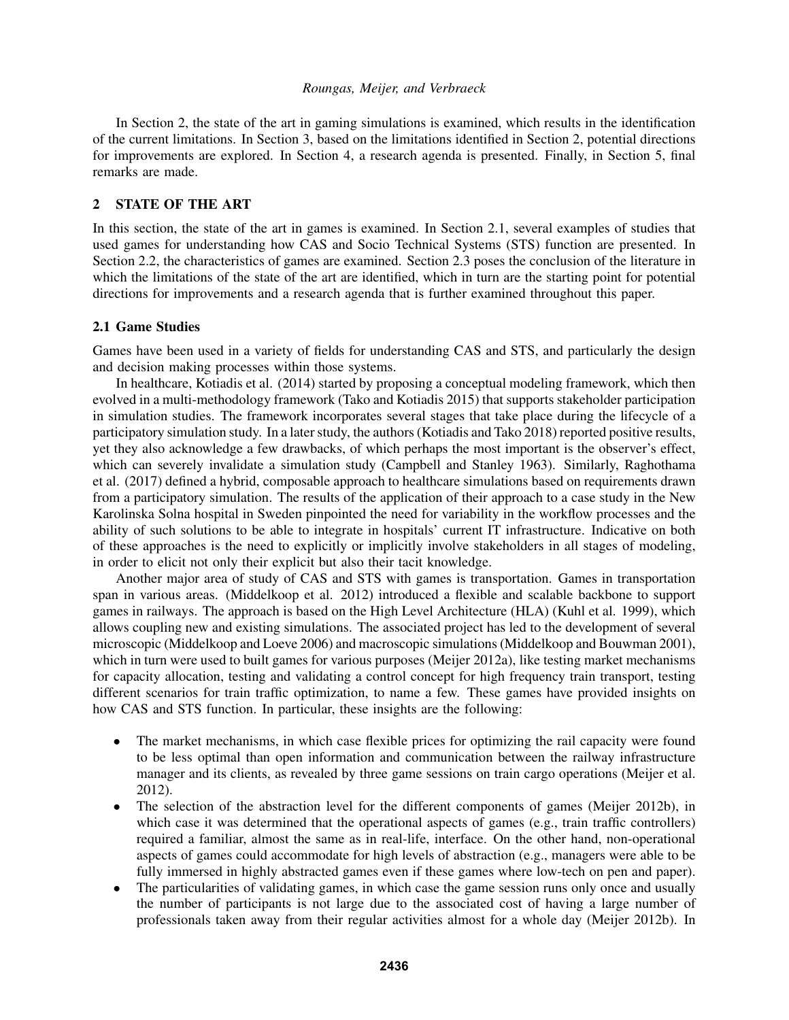In Section 2, the state of the art in gaming simulations is examined, which results in the identification of the current limitations. In Section 3, based on the limitations identified in Section 2, potential directions for improvements are explored. In Section 4, a research agenda is presented. Finally, in Section 5, final remarks are made.

# 2 STATE OF THE ART

In this section, the state of the art in games is examined. In Section 2.1, several examples of studies that used games for understanding how CAS and Socio Technical Systems (STS) function are presented. In Section 2.2, the characteristics of games are examined. Section 2.3 poses the conclusion of the literature in which the limitations of the state of the art are identified, which in turn are the starting point for potential directions for improvements and a research agenda that is further examined throughout this paper.

## 2.1 Game Studies

Games have been used in a variety of fields for understanding CAS and STS, and particularly the design and decision making processes within those systems.

In healthcare, Kotiadis et al. (2014) started by proposing a conceptual modeling framework, which then evolved in a multi-methodology framework (Tako and Kotiadis 2015) that supports stakeholder participation in simulation studies. The framework incorporates several stages that take place during the lifecycle of a participatory simulation study. In a later study, the authors (Kotiadis and Tako 2018) reported positive results, yet they also acknowledge a few drawbacks, of which perhaps the most important is the observer's effect, which can severely invalidate a simulation study (Campbell and Stanley 1963). Similarly, Raghothama et al. (2017) defined a hybrid, composable approach to healthcare simulations based on requirements drawn from a participatory simulation. The results of the application of their approach to a case study in the New Karolinska Solna hospital in Sweden pinpointed the need for variability in the workflow processes and the ability of such solutions to be able to integrate in hospitals' current IT infrastructure. Indicative on both of these approaches is the need to explicitly or implicitly involve stakeholders in all stages of modeling, in order to elicit not only their explicit but also their tacit knowledge.

Another major area of study of CAS and STS with games is transportation. Games in transportation span in various areas. (Middelkoop et al. 2012) introduced a flexible and scalable backbone to support games in railways. The approach is based on the High Level Architecture (HLA) (Kuhl et al. 1999), which allows coupling new and existing simulations. The associated project has led to the development of several microscopic (Middelkoop and Loeve 2006) and macroscopic simulations (Middelkoop and Bouwman 2001), which in turn were used to built games for various purposes (Meijer 2012a), like testing market mechanisms for capacity allocation, testing and validating a control concept for high frequency train transport, testing different scenarios for train traffic optimization, to name a few. These games have provided insights on how CAS and STS function. In particular, these insights are the following:

- The market mechanisms, in which case flexible prices for optimizing the rail capacity were found to be less optimal than open information and communication between the railway infrastructure manager and its clients, as revealed by three game sessions on train cargo operations (Meijer et al. 2012).
- The selection of the abstraction level for the different components of games (Meijer 2012b), in which case it was determined that the operational aspects of games (e.g., train traffic controllers) required a familiar, almost the same as in real-life, interface. On the other hand, non-operational aspects of games could accommodate for high levels of abstraction (e.g., managers were able to be fully immersed in highly abstracted games even if these games where low-tech on pen and paper).
- The particularities of validating games, in which case the game session runs only once and usually the number of participants is not large due to the associated cost of having a large number of professionals taken away from their regular activities almost for a whole day (Meijer 2012b). In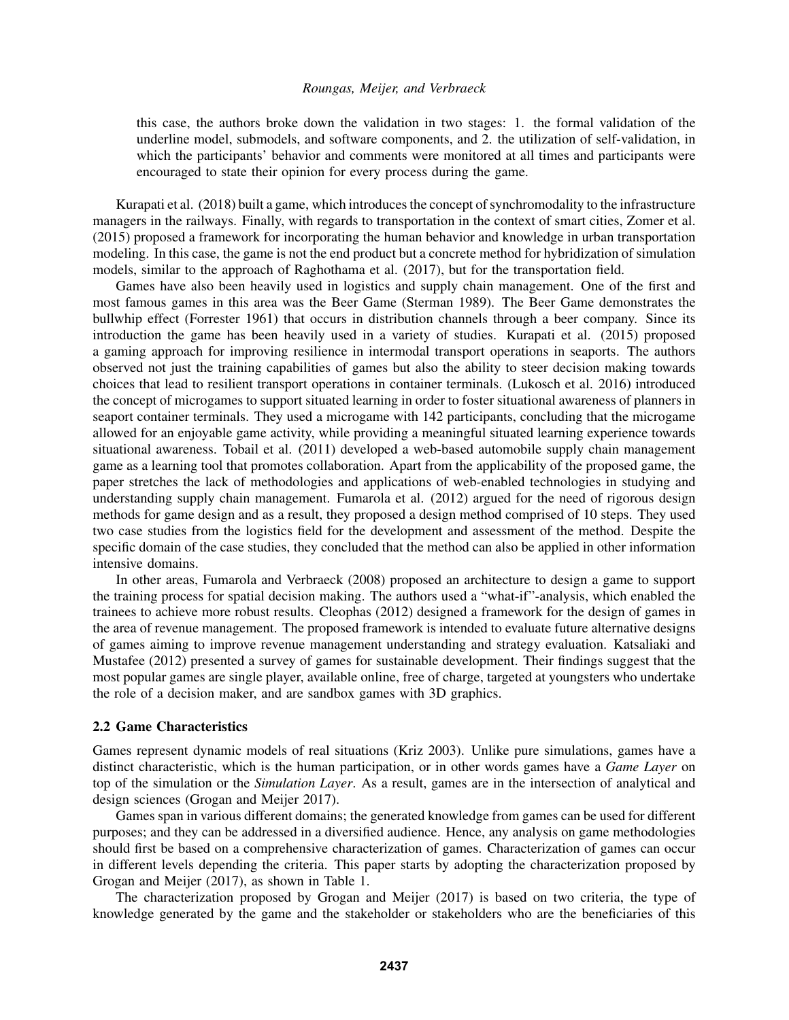this case, the authors broke down the validation in two stages: 1. the formal validation of the underline model, submodels, and software components, and 2. the utilization of self-validation, in which the participants' behavior and comments were monitored at all times and participants were encouraged to state their opinion for every process during the game.

Kurapati et al. (2018) built a game, which introduces the concept of synchromodality to the infrastructure managers in the railways. Finally, with regards to transportation in the context of smart cities, Zomer et al. (2015) proposed a framework for incorporating the human behavior and knowledge in urban transportation modeling. In this case, the game is not the end product but a concrete method for hybridization of simulation models, similar to the approach of Raghothama et al. (2017), but for the transportation field.

Games have also been heavily used in logistics and supply chain management. One of the first and most famous games in this area was the Beer Game (Sterman 1989). The Beer Game demonstrates the bullwhip effect (Forrester 1961) that occurs in distribution channels through a beer company. Since its introduction the game has been heavily used in a variety of studies. Kurapati et al. (2015) proposed a gaming approach for improving resilience in intermodal transport operations in seaports. The authors observed not just the training capabilities of games but also the ability to steer decision making towards choices that lead to resilient transport operations in container terminals. (Lukosch et al. 2016) introduced the concept of microgames to support situated learning in order to foster situational awareness of planners in seaport container terminals. They used a microgame with 142 participants, concluding that the microgame allowed for an enjoyable game activity, while providing a meaningful situated learning experience towards situational awareness. Tobail et al. (2011) developed a web-based automobile supply chain management game as a learning tool that promotes collaboration. Apart from the applicability of the proposed game, the paper stretches the lack of methodologies and applications of web-enabled technologies in studying and understanding supply chain management. Fumarola et al. (2012) argued for the need of rigorous design methods for game design and as a result, they proposed a design method comprised of 10 steps. They used two case studies from the logistics field for the development and assessment of the method. Despite the specific domain of the case studies, they concluded that the method can also be applied in other information intensive domains.

In other areas, Fumarola and Verbraeck (2008) proposed an architecture to design a game to support the training process for spatial decision making. The authors used a "what-if"-analysis, which enabled the trainees to achieve more robust results. Cleophas (2012) designed a framework for the design of games in the area of revenue management. The proposed framework is intended to evaluate future alternative designs of games aiming to improve revenue management understanding and strategy evaluation. Katsaliaki and Mustafee (2012) presented a survey of games for sustainable development. Their findings suggest that the most popular games are single player, available online, free of charge, targeted at youngsters who undertake the role of a decision maker, and are sandbox games with 3D graphics.

### 2.2 Game Characteristics

Games represent dynamic models of real situations (Kriz 2003). Unlike pure simulations, games have a distinct characteristic, which is the human participation, or in other words games have a *Game Layer* on top of the simulation or the *Simulation Layer*. As a result, games are in the intersection of analytical and design sciences (Grogan and Meijer 2017).

Games span in various different domains; the generated knowledge from games can be used for different purposes; and they can be addressed in a diversified audience. Hence, any analysis on game methodologies should first be based on a comprehensive characterization of games. Characterization of games can occur in different levels depending the criteria. This paper starts by adopting the characterization proposed by Grogan and Meijer (2017), as shown in Table 1.

The characterization proposed by Grogan and Meijer (2017) is based on two criteria, the type of knowledge generated by the game and the stakeholder or stakeholders who are the beneficiaries of this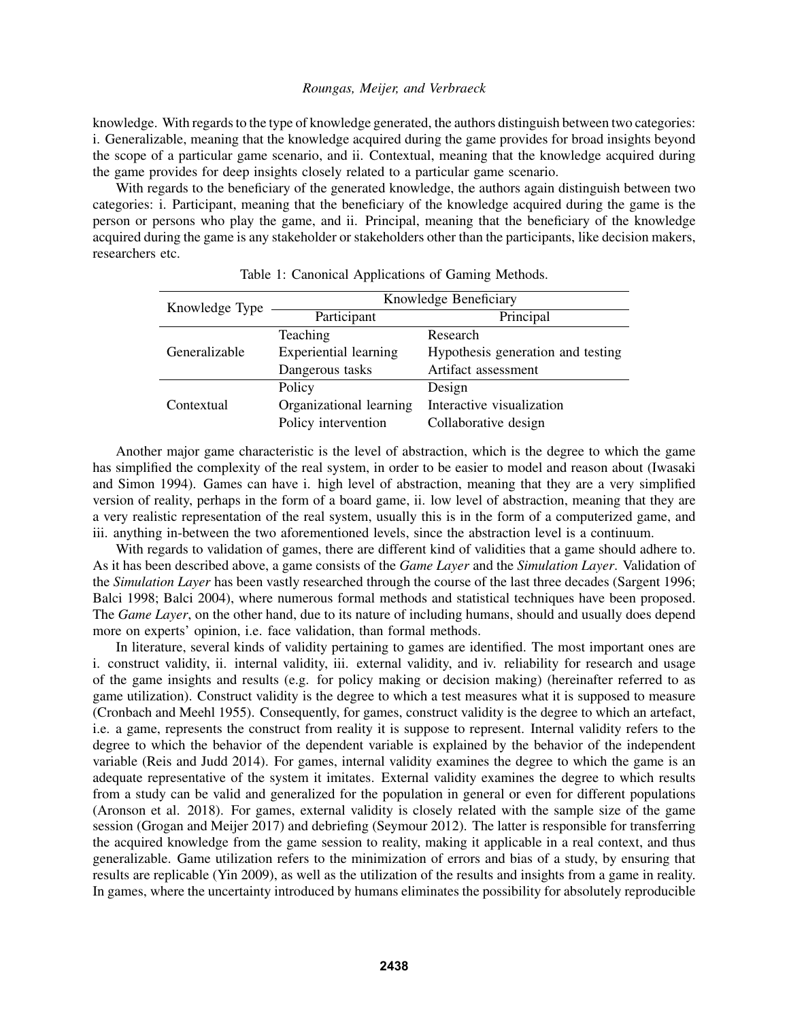knowledge. With regards to the type of knowledge generated, the authors distinguish between two categories: i. Generalizable, meaning that the knowledge acquired during the game provides for broad insights beyond the scope of a particular game scenario, and ii. Contextual, meaning that the knowledge acquired during the game provides for deep insights closely related to a particular game scenario.

With regards to the beneficiary of the generated knowledge, the authors again distinguish between two categories: i. Participant, meaning that the beneficiary of the knowledge acquired during the game is the person or persons who play the game, and ii. Principal, meaning that the beneficiary of the knowledge acquired during the game is any stakeholder or stakeholders other than the participants, like decision makers, researchers etc.

| Knowledge Type | Knowledge Beneficiary        |                                   |
|----------------|------------------------------|-----------------------------------|
|                | Participant                  | Principal                         |
| Generalizable  | Teaching                     | Research                          |
|                | <b>Experiential learning</b> | Hypothesis generation and testing |
|                | Dangerous tasks              | Artifact assessment               |
| Contextual     | Policy                       | Design                            |
|                | Organizational learning      | Interactive visualization         |
|                | Policy intervention          | Collaborative design              |

Another major game characteristic is the level of abstraction, which is the degree to which the game has simplified the complexity of the real system, in order to be easier to model and reason about (Iwasaki and Simon 1994). Games can have i. high level of abstraction, meaning that they are a very simplified version of reality, perhaps in the form of a board game, ii. low level of abstraction, meaning that they are a very realistic representation of the real system, usually this is in the form of a computerized game, and iii. anything in-between the two aforementioned levels, since the abstraction level is a continuum.

With regards to validation of games, there are different kind of validities that a game should adhere to. As it has been described above, a game consists of the *Game Layer* and the *Simulation Layer*. Validation of the *Simulation Layer* has been vastly researched through the course of the last three decades (Sargent 1996; Balci 1998; Balci 2004), where numerous formal methods and statistical techniques have been proposed. The *Game Layer*, on the other hand, due to its nature of including humans, should and usually does depend more on experts' opinion, i.e. face validation, than formal methods.

In literature, several kinds of validity pertaining to games are identified. The most important ones are i. construct validity, ii. internal validity, iii. external validity, and iv. reliability for research and usage of the game insights and results (e.g. for policy making or decision making) (hereinafter referred to as game utilization). Construct validity is the degree to which a test measures what it is supposed to measure (Cronbach and Meehl 1955). Consequently, for games, construct validity is the degree to which an artefact, i.e. a game, represents the construct from reality it is suppose to represent. Internal validity refers to the degree to which the behavior of the dependent variable is explained by the behavior of the independent variable (Reis and Judd 2014). For games, internal validity examines the degree to which the game is an adequate representative of the system it imitates. External validity examines the degree to which results from a study can be valid and generalized for the population in general or even for different populations (Aronson et al. 2018). For games, external validity is closely related with the sample size of the game session (Grogan and Meijer 2017) and debriefing (Seymour 2012). The latter is responsible for transferring the acquired knowledge from the game session to reality, making it applicable in a real context, and thus generalizable. Game utilization refers to the minimization of errors and bias of a study, by ensuring that results are replicable (Yin 2009), as well as the utilization of the results and insights from a game in reality. In games, where the uncertainty introduced by humans eliminates the possibility for absolutely reproducible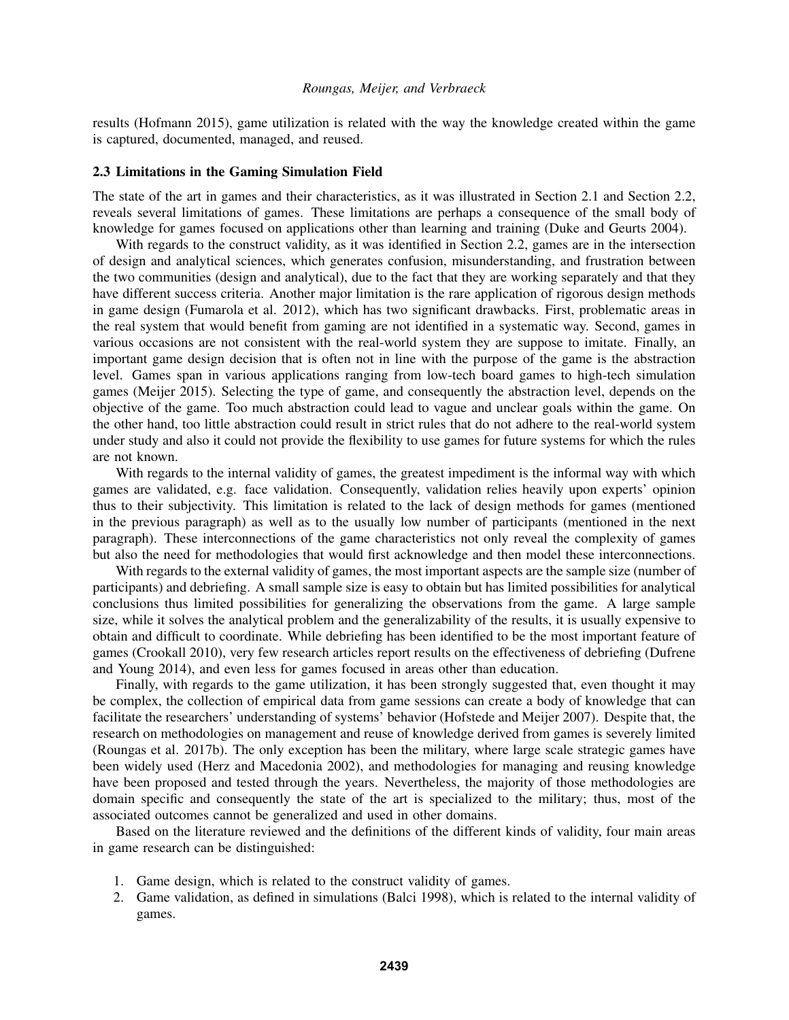results (Hofmann 2015), game utilization is related with the way the knowledge created within the game is captured, documented, managed, and reused.

### 2.3 Limitations in the Gaming Simulation Field

The state of the art in games and their characteristics, as it was illustrated in Section 2.1 and Section 2.2, reveals several limitations of games. These limitations are perhaps a consequence of the small body of knowledge for games focused on applications other than learning and training (Duke and Geurts 2004).

With regards to the construct validity, as it was identified in Section 2.2, games are in the intersection of design and analytical sciences, which generates confusion, misunderstanding, and frustration between the two communities (design and analytical), due to the fact that they are working separately and that they have different success criteria. Another major limitation is the rare application of rigorous design methods in game design (Fumarola et al. 2012), which has two significant drawbacks. First, problematic areas in the real system that would benefit from gaming are not identified in a systematic way. Second, games in various occasions are not consistent with the real-world system they are suppose to imitate. Finally, an important game design decision that is often not in line with the purpose of the game is the abstraction level. Games span in various applications ranging from low-tech board games to high-tech simulation games (Meijer 2015). Selecting the type of game, and consequently the abstraction level, depends on the objective of the game. Too much abstraction could lead to vague and unclear goals within the game. On the other hand, too little abstraction could result in strict rules that do not adhere to the real-world system under study and also it could not provide the flexibility to use games for future systems for which the rules are not known.

With regards to the internal validity of games, the greatest impediment is the informal way with which games are validated, e.g. face validation. Consequently, validation relies heavily upon experts' opinion thus to their subjectivity. This limitation is related to the lack of design methods for games (mentioned in the previous paragraph) as well as to the usually low number of participants (mentioned in the next paragraph). These interconnections of the game characteristics not only reveal the complexity of games but also the need for methodologies that would first acknowledge and then model these interconnections.

With regards to the external validity of games, the most important aspects are the sample size (number of participants) and debriefing. A small sample size is easy to obtain but has limited possibilities for analytical conclusions thus limited possibilities for generalizing the observations from the game. A large sample size, while it solves the analytical problem and the generalizability of the results, it is usually expensive to obtain and difficult to coordinate. While debriefing has been identified to be the most important feature of games (Crookall 2010), very few research articles report results on the effectiveness of debriefing (Dufrene and Young 2014), and even less for games focused in areas other than education.

Finally, with regards to the game utilization, it has been strongly suggested that, even thought it may be complex, the collection of empirical data from game sessions can create a body of knowledge that can facilitate the researchers' understanding of systems' behavior (Hofstede and Meijer 2007). Despite that, the research on methodologies on management and reuse of knowledge derived from games is severely limited (Roungas et al. 2017b). The only exception has been the military, where large scale strategic games have been widely used (Herz and Macedonia 2002), and methodologies for managing and reusing knowledge have been proposed and tested through the years. Nevertheless, the majority of those methodologies are domain specific and consequently the state of the art is specialized to the military; thus, most of the associated outcomes cannot be generalized and used in other domains.

Based on the literature reviewed and the definitions of the different kinds of validity, four main areas in game research can be distinguished:

- 1. Game design, which is related to the construct validity of games.
- 2. Game validation, as defined in simulations (Balci 1998), which is related to the internal validity of games.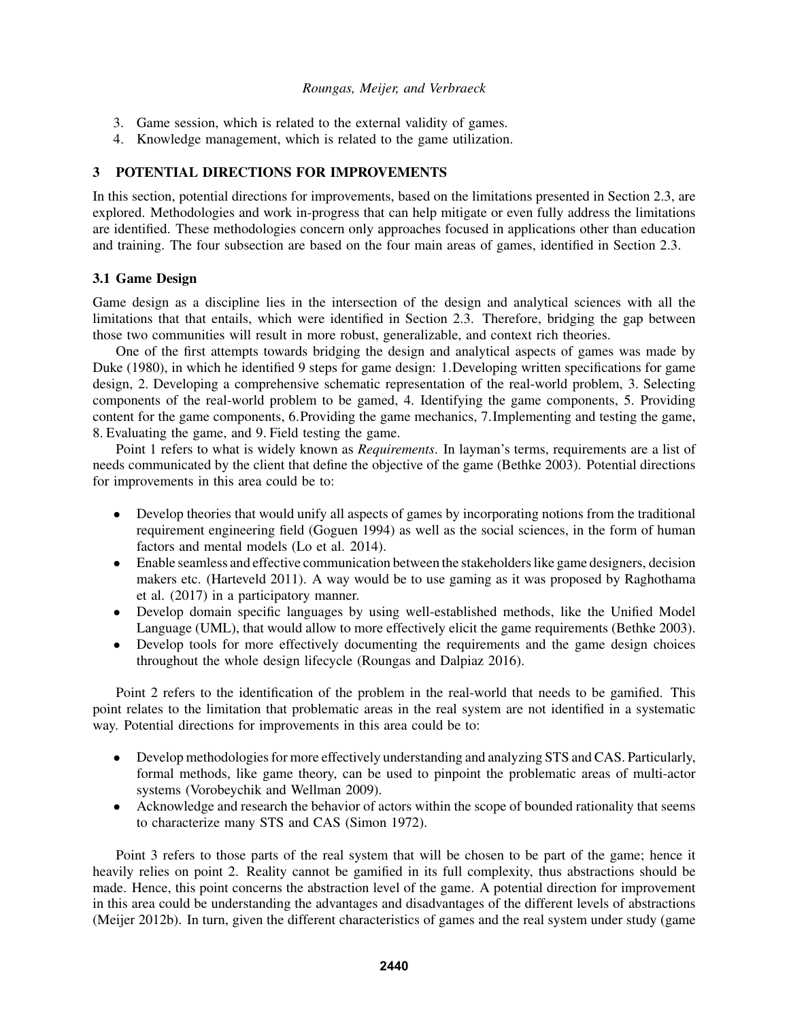- 3. Game session, which is related to the external validity of games.
- 4. Knowledge management, which is related to the game utilization.

# 3 POTENTIAL DIRECTIONS FOR IMPROVEMENTS

In this section, potential directions for improvements, based on the limitations presented in Section 2.3, are explored. Methodologies and work in-progress that can help mitigate or even fully address the limitations are identified. These methodologies concern only approaches focused in applications other than education and training. The four subsection are based on the four main areas of games, identified in Section 2.3.

## 3.1 Game Design

Game design as a discipline lies in the intersection of the design and analytical sciences with all the limitations that that entails, which were identified in Section 2.3. Therefore, bridging the gap between those two communities will result in more robust, generalizable, and context rich theories.

One of the first attempts towards bridging the design and analytical aspects of games was made by Duke (1980), in which he identified 9 steps for game design: 1.Developing written specifications for game design, 2. Developing a comprehensive schematic representation of the real-world problem, 3. Selecting components of the real-world problem to be gamed, 4. Identifying the game components, 5. Providing content for the game components, 6.Providing the game mechanics, 7.Implementing and testing the game, 8. Evaluating the game, and 9. Field testing the game.

Point 1 refers to what is widely known as *Requirements*. In layman's terms, requirements are a list of needs communicated by the client that define the objective of the game (Bethke 2003). Potential directions for improvements in this area could be to:

- Develop theories that would unify all aspects of games by incorporating notions from the traditional requirement engineering field (Goguen 1994) as well as the social sciences, in the form of human factors and mental models (Lo et al. 2014).
- Enable seamless and effective communication between the stakeholders like game designers, decision makers etc. (Harteveld 2011). A way would be to use gaming as it was proposed by Raghothama et al. (2017) in a participatory manner.
- Develop domain specific languages by using well-established methods, like the Unified Model Language (UML), that would allow to more effectively elicit the game requirements (Bethke 2003).
- Develop tools for more effectively documenting the requirements and the game design choices throughout the whole design lifecycle (Roungas and Dalpiaz 2016).

Point 2 refers to the identification of the problem in the real-world that needs to be gamified. This point relates to the limitation that problematic areas in the real system are not identified in a systematic way. Potential directions for improvements in this area could be to:

- Develop methodologies for more effectively understanding and analyzing STS and CAS. Particularly, formal methods, like game theory, can be used to pinpoint the problematic areas of multi-actor systems (Vorobeychik and Wellman 2009).
- Acknowledge and research the behavior of actors within the scope of bounded rationality that seems to characterize many STS and CAS (Simon 1972).

Point 3 refers to those parts of the real system that will be chosen to be part of the game; hence it heavily relies on point 2. Reality cannot be gamified in its full complexity, thus abstractions should be made. Hence, this point concerns the abstraction level of the game. A potential direction for improvement in this area could be understanding the advantages and disadvantages of the different levels of abstractions (Meijer 2012b). In turn, given the different characteristics of games and the real system under study (game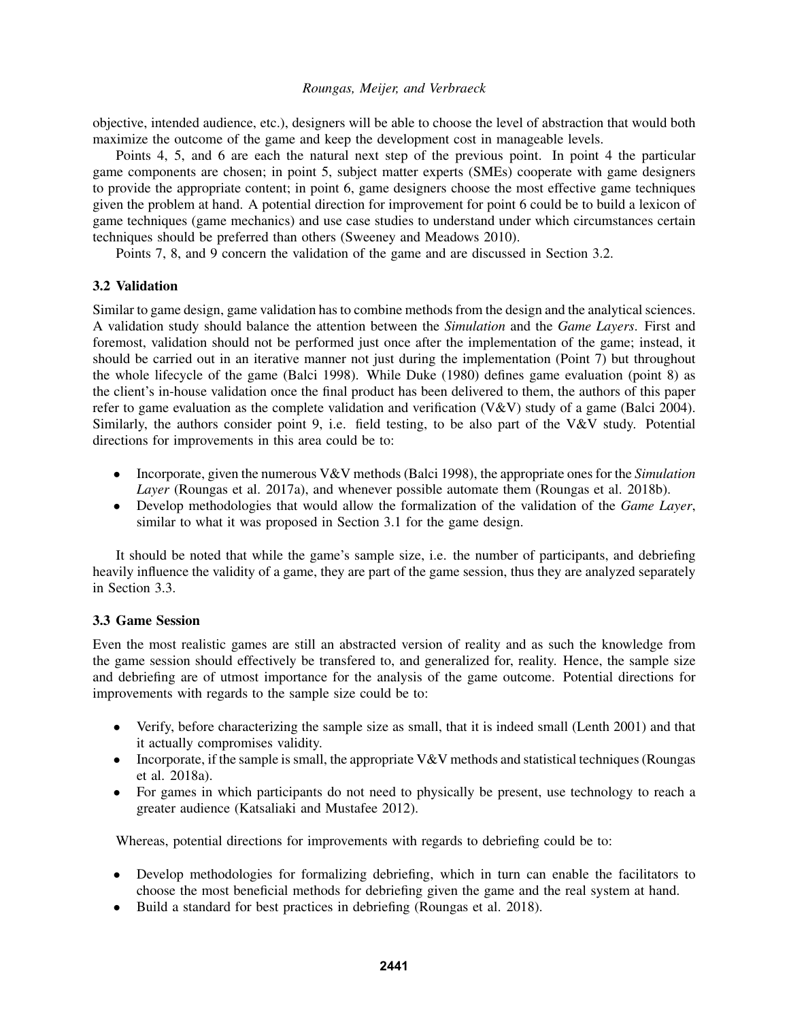objective, intended audience, etc.), designers will be able to choose the level of abstraction that would both maximize the outcome of the game and keep the development cost in manageable levels.

Points 4, 5, and 6 are each the natural next step of the previous point. In point 4 the particular game components are chosen; in point 5, subject matter experts (SMEs) cooperate with game designers to provide the appropriate content; in point 6, game designers choose the most effective game techniques given the problem at hand. A potential direction for improvement for point 6 could be to build a lexicon of game techniques (game mechanics) and use case studies to understand under which circumstances certain techniques should be preferred than others (Sweeney and Meadows 2010).

Points 7, 8, and 9 concern the validation of the game and are discussed in Section 3.2.

# 3.2 Validation

Similar to game design, game validation has to combine methods from the design and the analytical sciences. A validation study should balance the attention between the *Simulation* and the *Game Layers*. First and foremost, validation should not be performed just once after the implementation of the game; instead, it should be carried out in an iterative manner not just during the implementation (Point 7) but throughout the whole lifecycle of the game (Balci 1998). While Duke (1980) defines game evaluation (point 8) as the client's in-house validation once the final product has been delivered to them, the authors of this paper refer to game evaluation as the complete validation and verification (V&V) study of a game (Balci 2004). Similarly, the authors consider point 9, i.e. field testing, to be also part of the V&V study. Potential directions for improvements in this area could be to:

- Incorporate, given the numerous V&V methods (Balci 1998), the appropriate ones for the *Simulation Layer* (Roungas et al. 2017a), and whenever possible automate them (Roungas et al. 2018b).
- Develop methodologies that would allow the formalization of the validation of the *Game Layer*, similar to what it was proposed in Section 3.1 for the game design.

It should be noted that while the game's sample size, i.e. the number of participants, and debriefing heavily influence the validity of a game, they are part of the game session, thus they are analyzed separately in Section 3.3.

# 3.3 Game Session

Even the most realistic games are still an abstracted version of reality and as such the knowledge from the game session should effectively be transfered to, and generalized for, reality. Hence, the sample size and debriefing are of utmost importance for the analysis of the game outcome. Potential directions for improvements with regards to the sample size could be to:

- Verify, before characterizing the sample size as small, that it is indeed small (Lenth 2001) and that it actually compromises validity.
- Incorporate, if the sample is small, the appropriate  $V\&V$  methods and statistical techniques (Roungas et al. 2018a).
- For games in which participants do not need to physically be present, use technology to reach a greater audience (Katsaliaki and Mustafee 2012).

Whereas, potential directions for improvements with regards to debriefing could be to:

- Develop methodologies for formalizing debriefing, which in turn can enable the facilitators to choose the most beneficial methods for debriefing given the game and the real system at hand.
- Build a standard for best practices in debriefing (Roungas et al. 2018).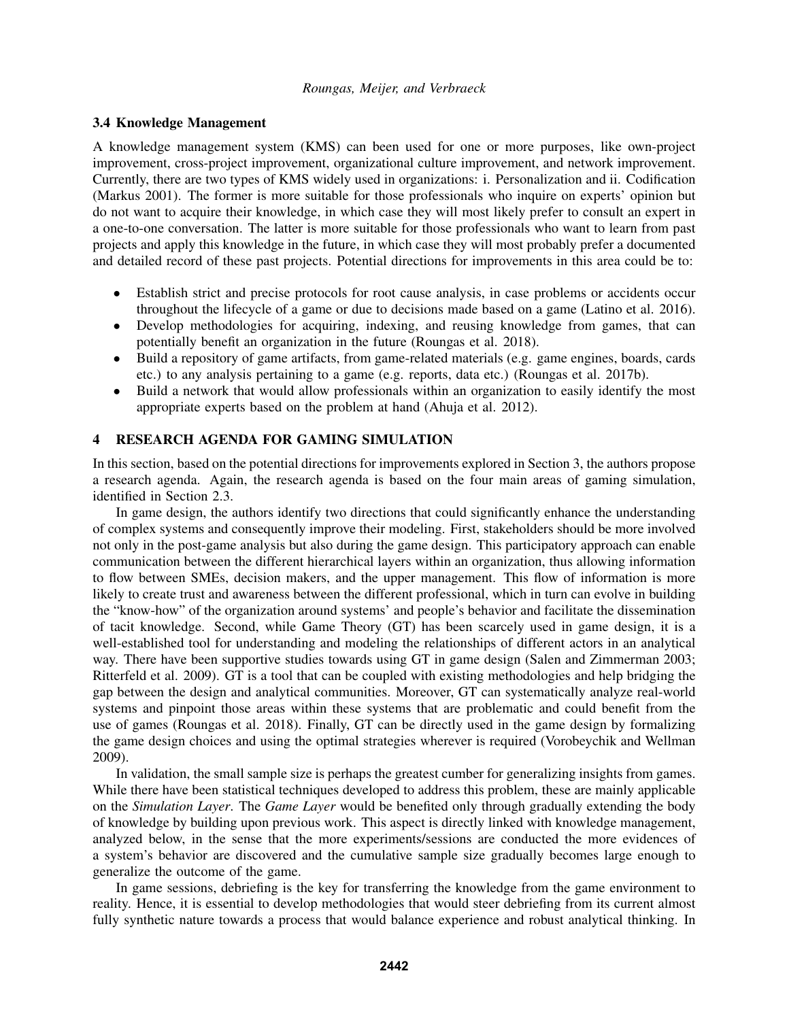## 3.4 Knowledge Management

A knowledge management system (KMS) can been used for one or more purposes, like own-project improvement, cross-project improvement, organizational culture improvement, and network improvement. Currently, there are two types of KMS widely used in organizations: i. Personalization and ii. Codification (Markus 2001). The former is more suitable for those professionals who inquire on experts' opinion but do not want to acquire their knowledge, in which case they will most likely prefer to consult an expert in a one-to-one conversation. The latter is more suitable for those professionals who want to learn from past projects and apply this knowledge in the future, in which case they will most probably prefer a documented and detailed record of these past projects. Potential directions for improvements in this area could be to:

- Establish strict and precise protocols for root cause analysis, in case problems or accidents occur throughout the lifecycle of a game or due to decisions made based on a game (Latino et al. 2016).
- Develop methodologies for acquiring, indexing, and reusing knowledge from games, that can potentially benefit an organization in the future (Roungas et al. 2018).
- Build a repository of game artifacts, from game-related materials (e.g. game engines, boards, cards etc.) to any analysis pertaining to a game (e.g. reports, data etc.) (Roungas et al. 2017b).
- Build a network that would allow professionals within an organization to easily identify the most appropriate experts based on the problem at hand (Ahuja et al. 2012).

# 4 RESEARCH AGENDA FOR GAMING SIMULATION

In this section, based on the potential directions for improvements explored in Section 3, the authors propose a research agenda. Again, the research agenda is based on the four main areas of gaming simulation, identified in Section 2.3.

In game design, the authors identify two directions that could significantly enhance the understanding of complex systems and consequently improve their modeling. First, stakeholders should be more involved not only in the post-game analysis but also during the game design. This participatory approach can enable communication between the different hierarchical layers within an organization, thus allowing information to flow between SMEs, decision makers, and the upper management. This flow of information is more likely to create trust and awareness between the different professional, which in turn can evolve in building the "know-how" of the organization around systems' and people's behavior and facilitate the dissemination of tacit knowledge. Second, while Game Theory (GT) has been scarcely used in game design, it is a well-established tool for understanding and modeling the relationships of different actors in an analytical way. There have been supportive studies towards using GT in game design (Salen and Zimmerman 2003; Ritterfeld et al. 2009). GT is a tool that can be coupled with existing methodologies and help bridging the gap between the design and analytical communities. Moreover, GT can systematically analyze real-world systems and pinpoint those areas within these systems that are problematic and could benefit from the use of games (Roungas et al. 2018). Finally, GT can be directly used in the game design by formalizing the game design choices and using the optimal strategies wherever is required (Vorobeychik and Wellman 2009).

In validation, the small sample size is perhaps the greatest cumber for generalizing insights from games. While there have been statistical techniques developed to address this problem, these are mainly applicable on the *Simulation Layer*. The *Game Layer* would be benefited only through gradually extending the body of knowledge by building upon previous work. This aspect is directly linked with knowledge management, analyzed below, in the sense that the more experiments/sessions are conducted the more evidences of a system's behavior are discovered and the cumulative sample size gradually becomes large enough to generalize the outcome of the game.

In game sessions, debriefing is the key for transferring the knowledge from the game environment to reality. Hence, it is essential to develop methodologies that would steer debriefing from its current almost fully synthetic nature towards a process that would balance experience and robust analytical thinking. In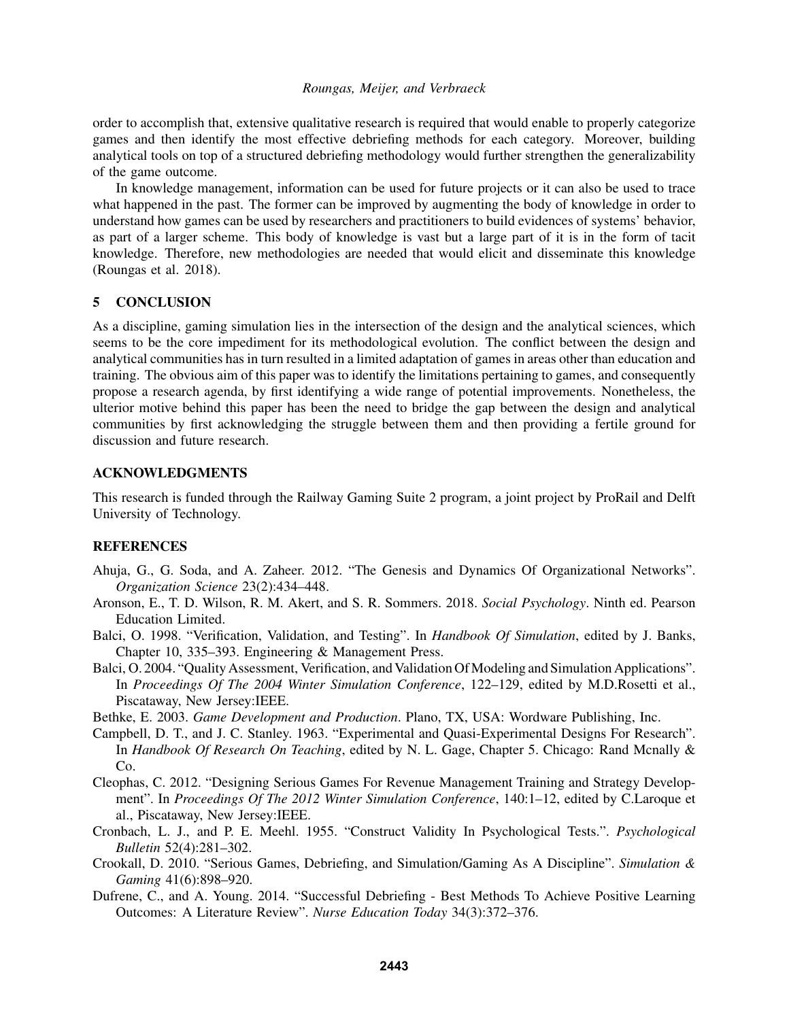order to accomplish that, extensive qualitative research is required that would enable to properly categorize games and then identify the most effective debriefing methods for each category. Moreover, building analytical tools on top of a structured debriefing methodology would further strengthen the generalizability of the game outcome.

In knowledge management, information can be used for future projects or it can also be used to trace what happened in the past. The former can be improved by augmenting the body of knowledge in order to understand how games can be used by researchers and practitioners to build evidences of systems' behavior, as part of a larger scheme. This body of knowledge is vast but a large part of it is in the form of tacit knowledge. Therefore, new methodologies are needed that would elicit and disseminate this knowledge (Roungas et al. 2018).

## 5 CONCLUSION

As a discipline, gaming simulation lies in the intersection of the design and the analytical sciences, which seems to be the core impediment for its methodological evolution. The conflict between the design and analytical communities has in turn resulted in a limited adaptation of games in areas other than education and training. The obvious aim of this paper was to identify the limitations pertaining to games, and consequently propose a research agenda, by first identifying a wide range of potential improvements. Nonetheless, the ulterior motive behind this paper has been the need to bridge the gap between the design and analytical communities by first acknowledging the struggle between them and then providing a fertile ground for discussion and future research.

## ACKNOWLEDGMENTS

This research is funded through the Railway Gaming Suite 2 program, a joint project by ProRail and Delft University of Technology.

## REFERENCES

- Ahuja, G., G. Soda, and A. Zaheer. 2012. "The Genesis and Dynamics Of Organizational Networks". *Organization Science* 23(2):434–448.
- Aronson, E., T. D. Wilson, R. M. Akert, and S. R. Sommers. 2018. *Social Psychology*. Ninth ed. Pearson Education Limited.
- Balci, O. 1998. "Verification, Validation, and Testing". In *Handbook Of Simulation*, edited by J. Banks, Chapter 10, 335–393. Engineering & Management Press.
- Balci, O. 2004. "Quality Assessment, Verification, and Validation Of Modeling and Simulation Applications". In *Proceedings Of The 2004 Winter Simulation Conference*, 122–129, edited by M.D.Rosetti et al., Piscataway, New Jersey:IEEE.

Bethke, E. 2003. *Game Development and Production*. Plano, TX, USA: Wordware Publishing, Inc.

- Campbell, D. T., and J. C. Stanley. 1963. "Experimental and Quasi-Experimental Designs For Research". In *Handbook Of Research On Teaching*, edited by N. L. Gage, Chapter 5. Chicago: Rand Mcnally & Co.
- Cleophas, C. 2012. "Designing Serious Games For Revenue Management Training and Strategy Development". In *Proceedings Of The 2012 Winter Simulation Conference*, 140:1–12, edited by C.Laroque et al., Piscataway, New Jersey:IEEE.
- Cronbach, L. J., and P. E. Meehl. 1955. "Construct Validity In Psychological Tests.". *Psychological Bulletin* 52(4):281–302.
- Crookall, D. 2010. "Serious Games, Debriefing, and Simulation/Gaming As A Discipline". *Simulation & Gaming* 41(6):898–920.
- Dufrene, C., and A. Young. 2014. "Successful Debriefing Best Methods To Achieve Positive Learning Outcomes: A Literature Review". *Nurse Education Today* 34(3):372–376.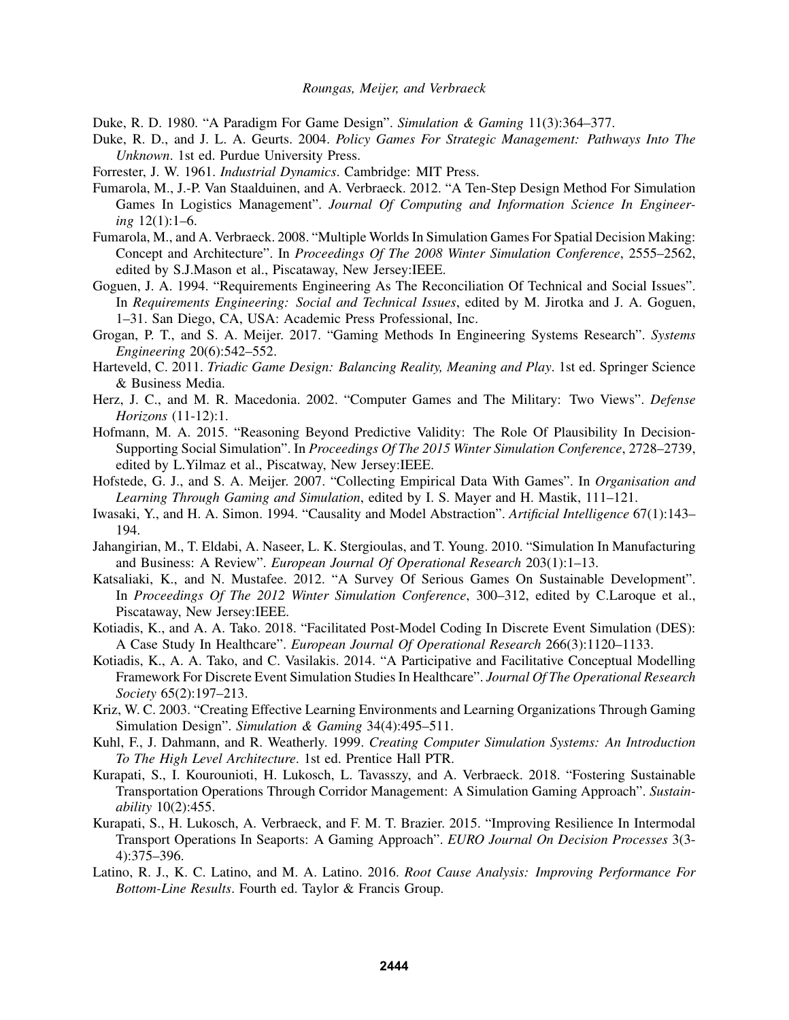Duke, R. D. 1980. "A Paradigm For Game Design". *Simulation & Gaming* 11(3):364–377.

- Duke, R. D., and J. L. A. Geurts. 2004. *Policy Games For Strategic Management: Pathways Into The Unknown*. 1st ed. Purdue University Press.
- Forrester, J. W. 1961. *Industrial Dynamics*. Cambridge: MIT Press.
- Fumarola, M., J.-P. Van Staalduinen, and A. Verbraeck. 2012. "A Ten-Step Design Method For Simulation Games In Logistics Management". *Journal Of Computing and Information Science In Engineering* 12(1):1–6.
- Fumarola, M., and A. Verbraeck. 2008. "Multiple Worlds In Simulation Games For Spatial Decision Making: Concept and Architecture". In *Proceedings Of The 2008 Winter Simulation Conference*, 2555–2562, edited by S.J.Mason et al., Piscataway, New Jersey:IEEE.
- Goguen, J. A. 1994. "Requirements Engineering As The Reconciliation Of Technical and Social Issues". In *Requirements Engineering: Social and Technical Issues*, edited by M. Jirotka and J. A. Goguen, 1–31. San Diego, CA, USA: Academic Press Professional, Inc.
- Grogan, P. T., and S. A. Meijer. 2017. "Gaming Methods In Engineering Systems Research". *Systems Engineering* 20(6):542–552.
- Harteveld, C. 2011. *Triadic Game Design: Balancing Reality, Meaning and Play*. 1st ed. Springer Science & Business Media.
- Herz, J. C., and M. R. Macedonia. 2002. "Computer Games and The Military: Two Views". *Defense Horizons* (11-12):1.
- Hofmann, M. A. 2015. "Reasoning Beyond Predictive Validity: The Role Of Plausibility In Decision-Supporting Social Simulation". In *Proceedings Of The 2015 Winter Simulation Conference*, 2728–2739, edited by L.Yilmaz et al., Piscatway, New Jersey:IEEE.
- Hofstede, G. J., and S. A. Meijer. 2007. "Collecting Empirical Data With Games". In *Organisation and Learning Through Gaming and Simulation*, edited by I. S. Mayer and H. Mastik, 111–121.
- Iwasaki, Y., and H. A. Simon. 1994. "Causality and Model Abstraction". *Artificial Intelligence* 67(1):143– 194.
- Jahangirian, M., T. Eldabi, A. Naseer, L. K. Stergioulas, and T. Young. 2010. "Simulation In Manufacturing and Business: A Review". *European Journal Of Operational Research* 203(1):1–13.
- Katsaliaki, K., and N. Mustafee. 2012. "A Survey Of Serious Games On Sustainable Development". In *Proceedings Of The 2012 Winter Simulation Conference*, 300–312, edited by C.Laroque et al., Piscataway, New Jersey:IEEE.
- Kotiadis, K., and A. A. Tako. 2018. "Facilitated Post-Model Coding In Discrete Event Simulation (DES): A Case Study In Healthcare". *European Journal Of Operational Research* 266(3):1120–1133.
- Kotiadis, K., A. A. Tako, and C. Vasilakis. 2014. "A Participative and Facilitative Conceptual Modelling Framework For Discrete Event Simulation Studies In Healthcare". *Journal Of The Operational Research Society* 65(2):197–213.
- Kriz, W. C. 2003. "Creating Effective Learning Environments and Learning Organizations Through Gaming Simulation Design". *Simulation & Gaming* 34(4):495–511.
- Kuhl, F., J. Dahmann, and R. Weatherly. 1999. *Creating Computer Simulation Systems: An Introduction To The High Level Architecture*. 1st ed. Prentice Hall PTR.
- Kurapati, S., I. Kourounioti, H. Lukosch, L. Tavasszy, and A. Verbraeck. 2018. "Fostering Sustainable Transportation Operations Through Corridor Management: A Simulation Gaming Approach". *Sustainability* 10(2):455.
- Kurapati, S., H. Lukosch, A. Verbraeck, and F. M. T. Brazier. 2015. "Improving Resilience In Intermodal Transport Operations In Seaports: A Gaming Approach". *EURO Journal On Decision Processes* 3(3- 4):375–396.
- Latino, R. J., K. C. Latino, and M. A. Latino. 2016. *Root Cause Analysis: Improving Performance For Bottom-Line Results*. Fourth ed. Taylor & Francis Group.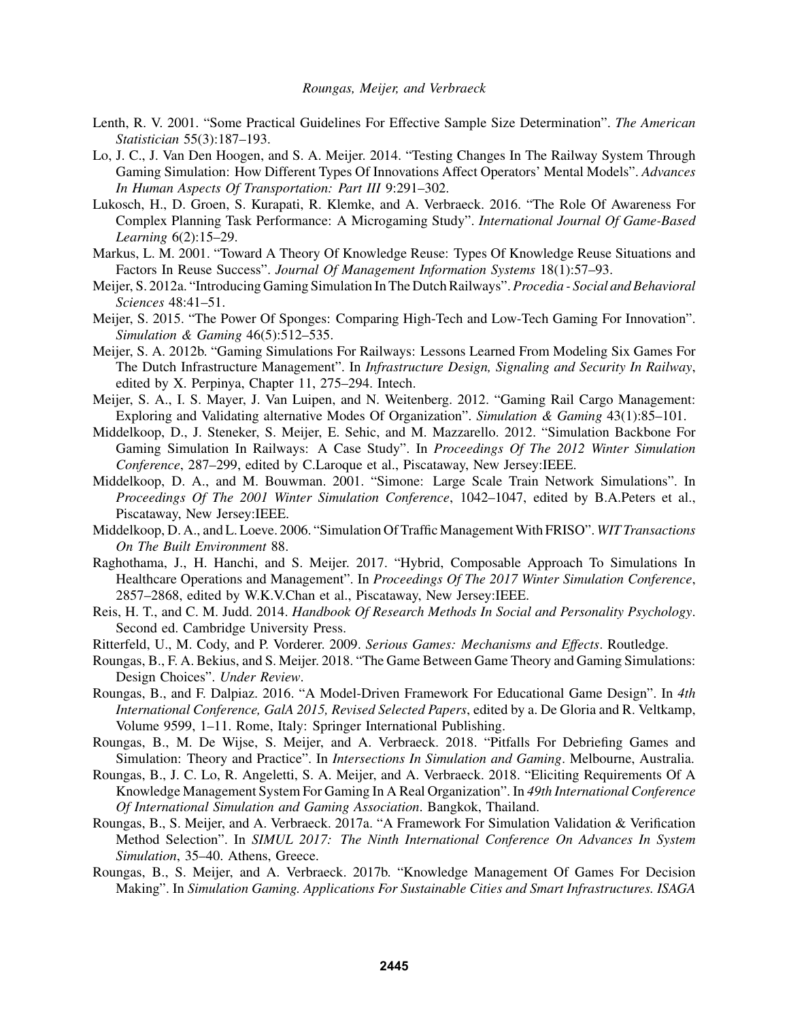- Lenth, R. V. 2001. "Some Practical Guidelines For Effective Sample Size Determination". *The American Statistician* 55(3):187–193.
- Lo, J. C., J. Van Den Hoogen, and S. A. Meijer. 2014. "Testing Changes In The Railway System Through Gaming Simulation: How Different Types Of Innovations Affect Operators' Mental Models". *Advances In Human Aspects Of Transportation: Part III* 9:291–302.
- Lukosch, H., D. Groen, S. Kurapati, R. Klemke, and A. Verbraeck. 2016. "The Role Of Awareness For Complex Planning Task Performance: A Microgaming Study". *International Journal Of Game-Based Learning* 6(2):15–29.
- Markus, L. M. 2001. "Toward A Theory Of Knowledge Reuse: Types Of Knowledge Reuse Situations and Factors In Reuse Success". *Journal Of Management Information Systems* 18(1):57–93.
- Meijer, S. 2012a. "Introducing Gaming Simulation In The Dutch Railways". *Procedia Social and Behavioral Sciences* 48:41–51.
- Meijer, S. 2015. "The Power Of Sponges: Comparing High-Tech and Low-Tech Gaming For Innovation". *Simulation & Gaming* 46(5):512–535.
- Meijer, S. A. 2012b. "Gaming Simulations For Railways: Lessons Learned From Modeling Six Games For The Dutch Infrastructure Management". In *Infrastructure Design, Signaling and Security In Railway*, edited by X. Perpinya, Chapter 11, 275–294. Intech.
- Meijer, S. A., I. S. Mayer, J. Van Luipen, and N. Weitenberg. 2012. "Gaming Rail Cargo Management: Exploring and Validating alternative Modes Of Organization". *Simulation & Gaming* 43(1):85–101.
- Middelkoop, D., J. Steneker, S. Meijer, E. Sehic, and M. Mazzarello. 2012. "Simulation Backbone For Gaming Simulation In Railways: A Case Study". In *Proceedings Of The 2012 Winter Simulation Conference*, 287–299, edited by C.Laroque et al., Piscataway, New Jersey:IEEE.
- Middelkoop, D. A., and M. Bouwman. 2001. "Simone: Large Scale Train Network Simulations". In *Proceedings Of The 2001 Winter Simulation Conference*, 1042–1047, edited by B.A.Peters et al., Piscataway, New Jersey:IEEE.
- Middelkoop, D. A., and L. Loeve. 2006. "Simulation Of Traffic ManagementWith FRISO". *WIT Transactions On The Built Environment* 88.
- Raghothama, J., H. Hanchi, and S. Meijer. 2017. "Hybrid, Composable Approach To Simulations In Healthcare Operations and Management". In *Proceedings Of The 2017 Winter Simulation Conference*, 2857–2868, edited by W.K.V.Chan et al., Piscataway, New Jersey:IEEE.
- Reis, H. T., and C. M. Judd. 2014. *Handbook Of Research Methods In Social and Personality Psychology*. Second ed. Cambridge University Press.
- Ritterfeld, U., M. Cody, and P. Vorderer. 2009. *Serious Games: Mechanisms and Effects*. Routledge.
- Roungas, B., F. A. Bekius, and S. Meijer. 2018. "The Game Between Game Theory and Gaming Simulations: Design Choices". *Under Review*.
- Roungas, B., and F. Dalpiaz. 2016. "A Model-Driven Framework For Educational Game Design". In *4th International Conference, GalA 2015, Revised Selected Papers*, edited by a. De Gloria and R. Veltkamp, Volume 9599, 1–11. Rome, Italy: Springer International Publishing.
- Roungas, B., M. De Wijse, S. Meijer, and A. Verbraeck. 2018. "Pitfalls For Debriefing Games and Simulation: Theory and Practice". In *Intersections In Simulation and Gaming*. Melbourne, Australia.
- Roungas, B., J. C. Lo, R. Angeletti, S. A. Meijer, and A. Verbraeck. 2018. "Eliciting Requirements Of A Knowledge Management System For Gaming In A Real Organization". In *49th International Conference Of International Simulation and Gaming Association*. Bangkok, Thailand.
- Roungas, B., S. Meijer, and A. Verbraeck. 2017a. "A Framework For Simulation Validation & Verification Method Selection". In *SIMUL 2017: The Ninth International Conference On Advances In System Simulation*, 35–40. Athens, Greece.
- Roungas, B., S. Meijer, and A. Verbraeck. 2017b. "Knowledge Management Of Games For Decision Making". In *Simulation Gaming. Applications For Sustainable Cities and Smart Infrastructures. ISAGA*